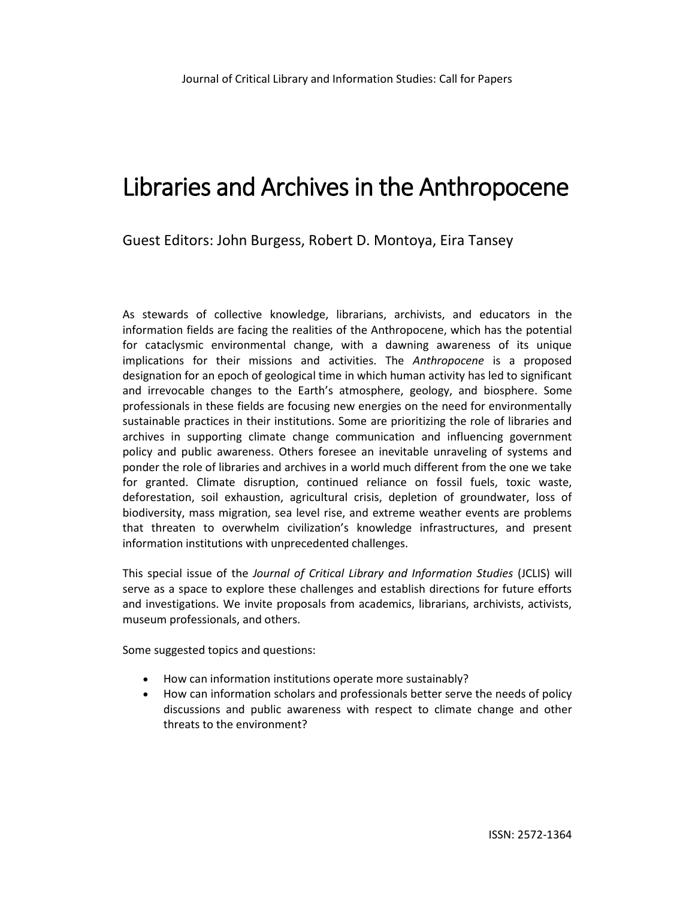# Libraries and Archives in the Anthropocene

Guest Editors: John Burgess, Robert D. Montoya, Eira Tansey

As stewards of collective knowledge, librarians, archivists, and educators in the information fields are facing the realities of the Anthropocene, which has the potential for cataclysmic environmental change, with a dawning awareness of its unique implications for their missions and activities. The *Anthropocene* is a proposed designation for an epoch of geological time in which human activity has led to significant and irrevocable changes to the Earth's atmosphere, geology, and biosphere. Some professionals in these fields are focusing new energies on the need for environmentally sustainable practices in their institutions. Some are prioritizing the role of libraries and archives in supporting climate change communication and influencing government policy and public awareness. Others foresee an inevitable unraveling of systems and ponder the role of libraries and archives in a world much different from the one we take for granted. Climate disruption, continued reliance on fossil fuels, toxic waste, deforestation, soil exhaustion, agricultural crisis, depletion of groundwater, loss of biodiversity, mass migration, sea level rise, and extreme weather events are problems that threaten to overwhelm civilization's knowledge infrastructures, and present information institutions with unprecedented challenges.

This special issue of the *Journal of Critical Library and Information Studies* (JCLIS) will serve as a space to explore these challenges and establish directions for future efforts and investigations. We invite proposals from academics, librarians, archivists, activists, museum professionals, and others.

Some suggested topics and questions:

- How can information institutions operate more sustainably?
- How can information scholars and professionals better serve the needs of policy discussions and public awareness with respect to climate change and other threats to the environment?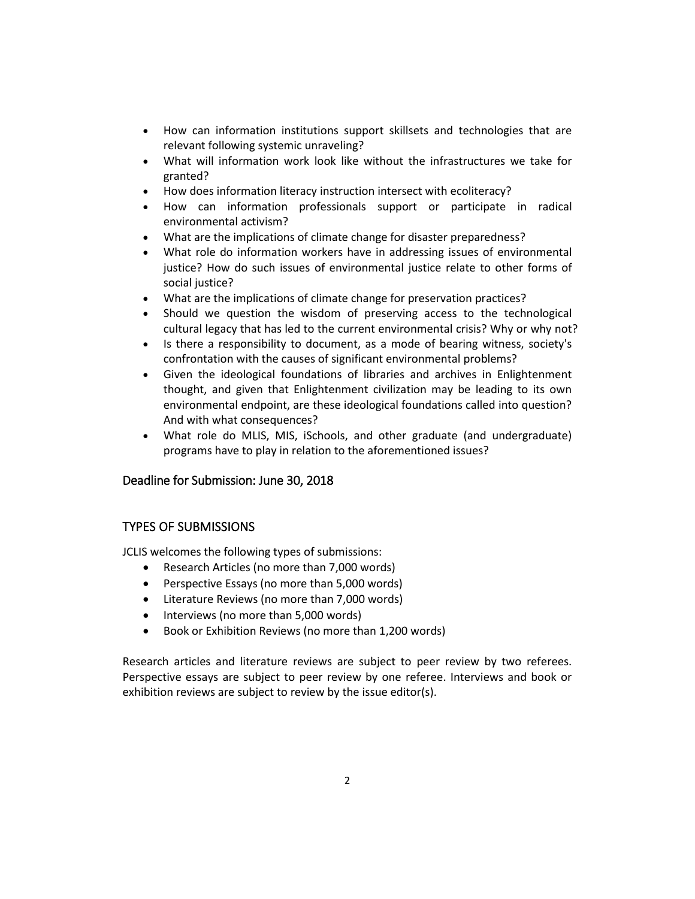- How can information institutions support skillsets and technologies that are relevant following systemic unraveling?
- What will information work look like without the infrastructures we take for granted?
- How does information literacy instruction intersect with ecoliteracy?
- How can information professionals support or participate in radical environmental activism?
- What are the implications of climate change for disaster preparedness?
- What role do information workers have in addressing issues of environmental justice? How do such issues of environmental justice relate to other forms of social justice?
- What are the implications of climate change for preservation practices?
- Should we question the wisdom of preserving access to the technological cultural legacy that has led to the current environmental crisis? Why or why not?
- Is there a responsibility to document, as a mode of bearing witness, society's confrontation with the causes of significant environmental problems?
- Given the ideological foundations of libraries and archives in Enlightenment thought, and given that Enlightenment civilization may be leading to its own environmental endpoint, are these ideological foundations called into question? And with what consequences?
- What role do MLIS, MIS, iSchools, and other graduate (and undergraduate) programs have to play in relation to the aforementioned issues?

# Deadline for Submission: June 30, 2018

## TYPES OF SUBMISSIONS

JCLIS welcomes the following types of submissions:

- Research Articles (no more than 7,000 words)
- Perspective Essays (no more than 5,000 words)
- Literature Reviews (no more than 7,000 words)
- Interviews (no more than 5,000 words)
- Book or Exhibition Reviews (no more than 1,200 words)

Research articles and literature reviews are subject to peer review by two referees. Perspective essays are subject to peer review by one referee. Interviews and book or exhibition reviews are subject to review by the issue editor(s).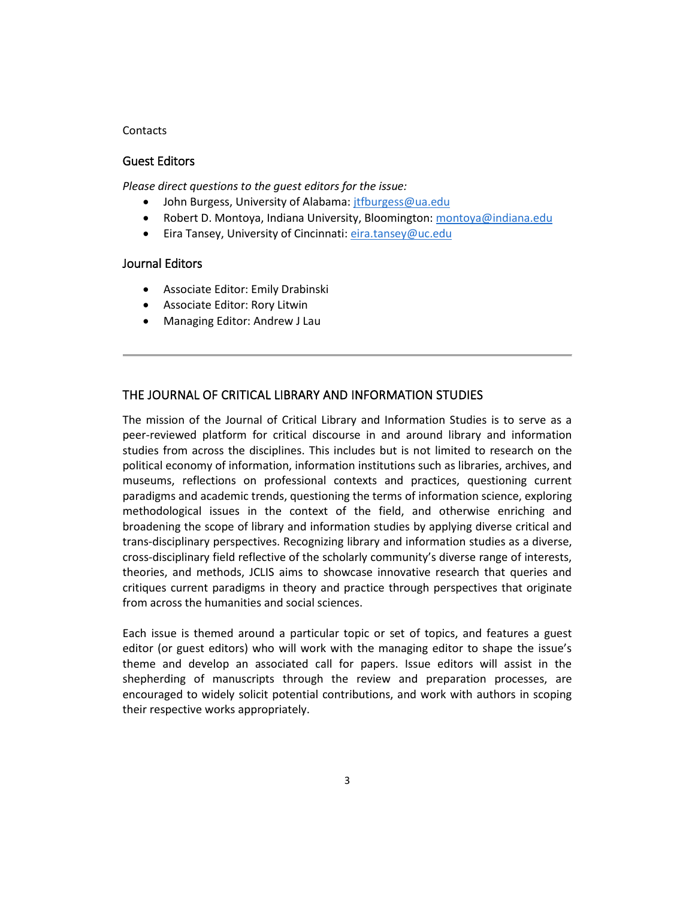#### **Contacts**

#### Guest Editors

*Please direct questions to the guest editors for the issue:*

- John Burgess, University of Alabama: *jtfburgess@ua.edu*
- Robert D. Montoya, Indiana University, Bloomington: [montoya@indiana.edu](mailto:montoya@indiana.edu)
- Eira Tansey, University of Cincinnati: [eira.tansey@uc.edu](mailto:eira.tansey@uc.edu)

#### Journal Editors

- Associate Editor: Emily Drabinski
- Associate Editor: Rory Litwin
- Managing Editor: Andrew J Lau

## THE JOURNAL OF CRITICAL LIBRARY AND INFORMATION STUDIES

The mission of the Journal of Critical Library and Information Studies is to serve as a peer-reviewed platform for critical discourse in and around library and information studies from across the disciplines. This includes but is not limited to research on the political economy of information, information institutions such as libraries, archives, and museums, reflections on professional contexts and practices, questioning current paradigms and academic trends, questioning the terms of information science, exploring methodological issues in the context of the field, and otherwise enriching and broadening the scope of library and information studies by applying diverse critical and trans-disciplinary perspectives. Recognizing library and information studies as a diverse, cross-disciplinary field reflective of the scholarly community's diverse range of interests, theories, and methods, JCLIS aims to showcase innovative research that queries and critiques current paradigms in theory and practice through perspectives that originate from across the humanities and social sciences.

Each issue is themed around a particular topic or set of topics, and features a guest editor (or guest editors) who will work with the managing editor to shape the issue's theme and develop an associated call for papers. Issue editors will assist in the shepherding of manuscripts through the review and preparation processes, are encouraged to widely solicit potential contributions, and work with authors in scoping their respective works appropriately.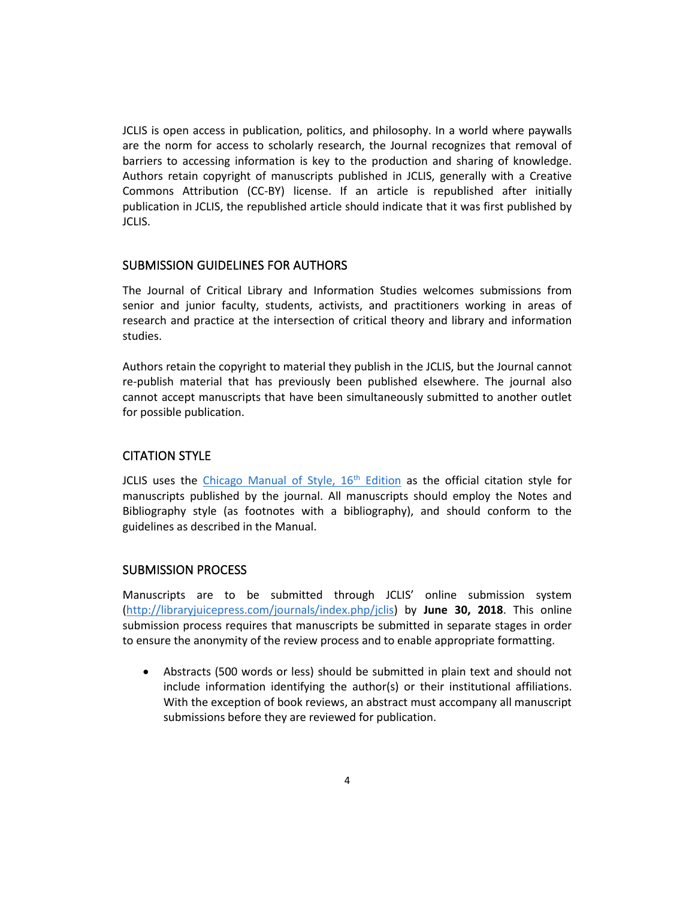JCLIS is open access in publication, politics, and philosophy. In a world where paywalls are the norm for access to scholarly research, the Journal recognizes that removal of barriers to accessing information is key to the production and sharing of knowledge. Authors retain copyright of manuscripts published in JCLIS, generally with a Creative Commons Attribution (CC-BY) license. If an article is republished after initially publication in JCLIS, the republished article should indicate that it was first published by JCLIS.

#### SUBMISSION GUIDELINES FOR AUTHORS

The Journal of Critical Library and Information Studies welcomes submissions from senior and junior faculty, students, activists, and practitioners working in areas of research and practice at the intersection of critical theory and library and information studies.

Authors retain the copyright to material they publish in the JCLIS, but the Journal cannot re-publish material that has previously been published elsewhere. The journal also cannot accept manuscripts that have been simultaneously submitted to another outlet for possible publication.

# CITATION STYLE

JCLIS uses [th](http://www.chicagomanualofstyle.org/home.html)e Chicago Manual of Style,  $16<sup>th</sup>$  [Edition](http://www.chicagomanualofstyle.org/home.html) as the official citation style for manuscripts published by the journal. All manuscripts should employ the Notes and Bibliography style (as footnotes with a bibliography), and should conform to the guidelines as described in the Manual.

## SUBMISSION PROCESS

Manuscripts are to be submitted through JCLIS' online submission system [\(http://libraryjuicepress.com/journals/index.php/jclis\)](http://libraryjuicepress.com/journals/index.php/jclis) by **June 30, 2018**. This online submission process requires that manuscripts be submitted in separate stages in order to ensure the anonymity of the review process and to enable appropriate formatting.

• Abstracts (500 words or less) should be submitted in plain text and should not include information identifying the author(s) or their institutional affiliations. With the exception of book reviews, an abstract must accompany all manuscript submissions before they are reviewed for publication.